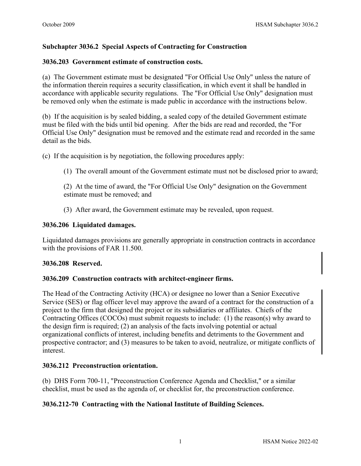## **Subchapter 3036.2 Special Aspects of Contracting for Construction**

### **3036.203 Government estimate of construction costs.**

(a) The Government estimate must be designated "For Official Use Only" unless the nature of the information therein requires a security classification, in which event it shall be handled in accordance with applicable security regulations. The "For Official Use Only" designation must be removed only when the estimate is made public in accordance with the instructions below.

(b) If the acquisition is by sealed bidding, a sealed copy of the detailed Government estimate must be filed with the bids until bid opening. After the bids are read and recorded, the "For Official Use Only" designation must be removed and the estimate read and recorded in the same detail as the bids.

(c) If the acquisition is by negotiation, the following procedures apply:

(1) The overall amount of the Government estimate must not be disclosed prior to award;

(2) At the time of award, the "For Official Use Only" designation on the Government estimate must be removed; and

(3) After award, the Government estimate may be revealed, upon request.

#### **3036.206 Liquidated damages.**

Liquidated damages provisions are generally appropriate in construction contracts in accordance with the provisions of FAR 11.500.

#### **3036.208 Reserved.**

#### **3036.209 Construction contracts with architect-engineer firms.**

The Head of the Contracting Activity (HCA) or designee no lower than a Senior Executive Service (SES) or flag officer level may approve the award of a contract for the construction of a project to the firm that designed the project or its subsidiaries or affiliates. Chiefs of the Contracting Offices (COCOs) must submit requests to include: (1) the reason(s) why award to the design firm is required; (2) an analysis of the facts involving potential or actual organizational conflicts of interest, including benefits and detriments to the Government and prospective contractor; and (3) measures to be taken to avoid, neutralize, or mitigate conflicts of interest.

### **3036.212 Preconstruction orientation.**

(b) DHS Form 700-11, "Preconstruction Conference Agenda and Checklist," or a similar checklist, must be used as the agenda of, or checklist for, the preconstruction conference.

### **3036.212-70 Contracting with the National Institute of Building Sciences.**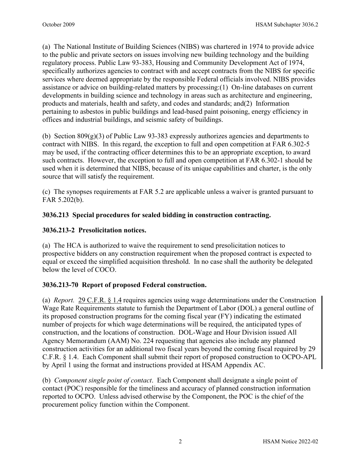(a) The National Institute of Building Sciences (NIBS) was chartered in 1974 to provide advice to the public and private sectors on issues involving new building technology and the building regulatory process. Public Law 93-383, Housing and Community Development Act of 1974, specifically authorizes agencies to contract with and accept contracts from the NIBS for specific services where deemed appropriate by the responsible Federal officials involved. NIBS provides assistance or advice on building-related matters by processing:(1) On-line databases on current developments in building science and technology in areas such as architecture and engineering, products and materials, health and safety, and codes and standards; and(2) Information pertaining to asbestos in public buildings and lead-based paint poisoning, energy efficiency in offices and industrial buildings, and seismic safety of buildings.

(b) Section 809(g)(3) of Public Law 93-383 expressly authorizes agencies and departments to contract with NIBS. In this regard, the exception to full and open competition at FAR 6.302-5 may be used, if the contracting officer determines this to be an appropriate exception, to award such contracts. However, the exception to full and open competition at FAR 6.302-1 should be used when it is determined that NIBS, because of its unique capabilities and charter, is the only source that will satisfy the requirement.

(c) The synopses requirements at FAR 5.2 are applicable unless a waiver is granted pursuant to FAR 5.202(b).

# **3036.213 Special procedures for sealed bidding in construction contracting.**

### **3036.213-2 Presolicitation notices.**

(a) The HCA is authorized to waive the requirement to send presolicitation notices to prospective bidders on any construction requirement when the proposed contract is expected to equal or exceed the simplified acquisition threshold. In no case shall the authority be delegated below the level of COCO.

# **3036.213-70 Report of proposed Federal construction.**

(a) *Report.* [29 C.F.R. § 1.4](https://www.ecfr.gov/current/title-29/part-1) requires agencies using wage determinations under the Construction Wage Rate Requirements statute to furnish the Department of Labor (DOL) a general outline of its proposed construction programs for the coming fiscal year (FY) indicating the estimated number of projects for which wage determinations will be required, the anticipated types of construction, and the locations of construction. DOL-Wage and Hour Division issued All Agency Memorandum (AAM) No. 224 requesting that agencies also include any planned construction activities for an additional two fiscal years beyond the coming fiscal required by 29 C.F.R. § 1.4. Each Component shall submit their report of proposed construction to OCPO-APL by April 1 using the format and instructions provided at HSAM Appendix AC.

(b) *Component single point of contact*. Each Component shall designate a single point of contact (POC) responsible for the timeliness and accuracy of planned construction information reported to OCPO. Unless advised otherwise by the Component, the POC is the chief of the procurement policy function within the Component.